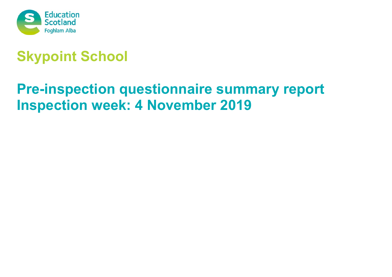

# **Skypoint School**

# **Pre-inspection questionnaire summary report Inspection week: 4 November 2019**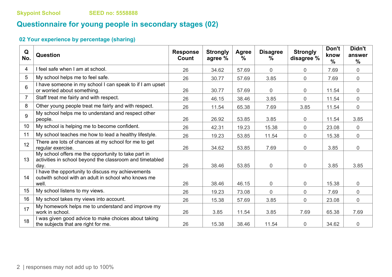# **Questionnaire for young people in secondary stages (02)**

# **02 Your experience by percentage (sharing)**

| Q<br>No. | <b>Question</b>                                                                                                         | <b>Response</b><br>Count | <b>Strongly</b><br>agree % | <b>Agree</b><br>$\frac{9}{6}$ | <b>Disagree</b><br>℅ | <b>Strongly</b><br>disagree % | Don't<br>know<br>$\frac{0}{0}$ | Didn't<br>answer<br>$\frac{0}{0}$ |
|----------|-------------------------------------------------------------------------------------------------------------------------|--------------------------|----------------------------|-------------------------------|----------------------|-------------------------------|--------------------------------|-----------------------------------|
| 4        | I feel safe when I am at school.                                                                                        | 26                       | 34.62                      | 57.69                         | $\mathbf 0$          | $\overline{0}$                | 7.69                           | $\overline{0}$                    |
| 5        | My school helps me to feel safe.                                                                                        | 26                       | 30.77                      | 57.69                         | 3.85                 | $\overline{0}$                | 7.69                           | $\overline{0}$                    |
| 6        | I have someone in my school I can speak to if I am upset<br>or worried about something.                                 | 26                       | 30.77                      | 57.69                         | $\overline{0}$       | $\overline{0}$                | 11.54                          | $\overline{0}$                    |
| 7        | Staff treat me fairly and with respect.                                                                                 | 26                       | 46.15                      | 38.46                         | 3.85                 | $\overline{0}$                | 11.54                          | $\mathbf 0$                       |
| 8        | Other young people treat me fairly and with respect.                                                                    | 26                       | 11.54                      | 65.38                         | 7.69                 | 3.85                          | 11.54                          | $\overline{0}$                    |
| 9        | My school helps me to understand and respect other<br>people.                                                           | 26                       | 26.92                      | 53.85                         | 3.85                 | $\overline{0}$                | 11.54                          | 3.85                              |
| 10       | My school is helping me to become confident.                                                                            | 26                       | 42.31                      | 19.23                         | 15.38                | $\overline{0}$                | 23.08                          | $\overline{0}$                    |
| 11       | My school teaches me how to lead a healthy lifestyle.                                                                   | 26                       | 19.23                      | 53.85                         | 11.54                | $\overline{0}$                | 15.38                          | $\overline{0}$                    |
| 12       | There are lots of chances at my school for me to get<br>regular exercise.                                               | 26                       | 34.62                      | 53.85                         | 7.69                 | $\mathbf 0$                   | 3.85                           | $\overline{0}$                    |
| 13       | My school offers me the opportunity to take part in<br>activities in school beyond the classroom and timetabled<br>day. | 26                       | 38.46                      | 53.85                         | $\mathbf 0$          | $\overline{0}$                | 3.85                           | 3.85                              |
| 14       | I have the opportunity to discuss my achievements<br>outwith school with an adult in school who knows me<br>well.       | 26                       | 38.46                      | 46.15                         | $\mathbf 0$          | $\overline{0}$                | 15.38                          | $\mathbf 0$                       |
| 15       | My school listens to my views.                                                                                          | 26                       | 19.23                      | 73.08                         | $\mathbf 0$          | $\overline{0}$                | 7.69                           | $\overline{0}$                    |
| 16       | My school takes my views into account.                                                                                  | 26                       | 15.38                      | 57.69                         | 3.85                 | $\overline{0}$                | 23.08                          | $\overline{0}$                    |
| 17       | My homework helps me to understand and improve my<br>work in school.                                                    | 26                       | 3.85                       | 11.54                         | 3.85                 | 7.69                          | 65.38                          | 7.69                              |
| 18       | I was given good advice to make choices about taking<br>the subjects that are right for me.                             | 26                       | 15.38                      | 38.46                         | 11.54                | $\overline{0}$                | 34.62                          | $\mathbf 0$                       |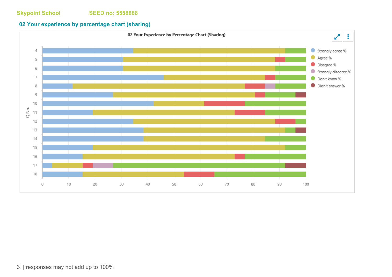## **02 Your experience by percentage chart (sharing)**

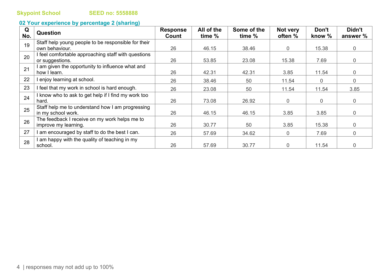# **02 Your experience by percentage 2 (sharing)**

| Q<br>No. | <b>Question</b>                                     | <b>Response</b><br>Count | All of the<br>time % | Some of the<br>time % | Not very<br>often % | Don't<br>know % | Didn't<br>answer % |
|----------|-----------------------------------------------------|--------------------------|----------------------|-----------------------|---------------------|-----------------|--------------------|
| 19       | Staff help young people to be responsible for their |                          |                      |                       |                     |                 |                    |
|          | own behaviour.                                      | 26                       | 46.15                | 38.46                 | $\overline{0}$      | 15.38           | $\overline{0}$     |
| 20       | I feel comfortable approaching staff with questions |                          |                      |                       |                     |                 |                    |
|          | or suggestions.                                     | 26                       | 53.85                | 23.08                 | 15.38               | 7.69            | $\Omega$           |
| 21       | I am given the opportunity to influence what and    |                          |                      |                       |                     |                 |                    |
|          | how I learn.                                        | 26                       | 42.31                | 42.31                 | 3.85                | 11.54           | $\Omega$           |
| 22       | I enjoy learning at school.                         | 26                       | 38.46                | 50                    | 11.54               | $\overline{0}$  | $\Omega$           |
| 23       | I feel that my work in school is hard enough.       | 26                       | 23.08                | 50                    | 11.54               | 11.54           | 3.85               |
| 24       | I know who to ask to get help if I find my work too |                          |                      |                       |                     |                 |                    |
|          | hard.                                               | 26                       | 73.08                | 26.92                 | $\overline{0}$      | $\overline{0}$  | $\overline{0}$     |
| 25       | Staff help me to understand how I am progressing    |                          |                      |                       |                     |                 |                    |
|          | in my school work.                                  | 26                       | 46.15                | 46.15                 | 3.85                | 3.85            | $\overline{0}$     |
| 26       | The feedback I receive on my work helps me to       |                          |                      |                       |                     |                 |                    |
|          | improve my learning.                                | 26                       | 30.77                | 50                    | 3.85                | 15.38           | $\Omega$           |
| 27       | I am encouraged by staff to do the best I can.      | 26                       | 57.69                | 34.62                 | 0                   | 7.69            | $\overline{0}$     |
| 28       | I am happy with the quality of teaching in my       |                          |                      |                       |                     |                 |                    |
|          | school.                                             | 26                       | 57.69                | 30.77                 | 0                   | 11.54           | $\Omega$           |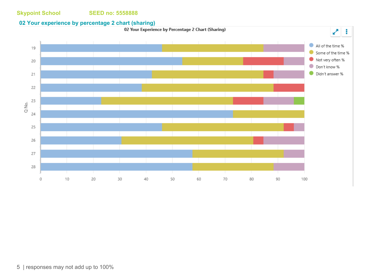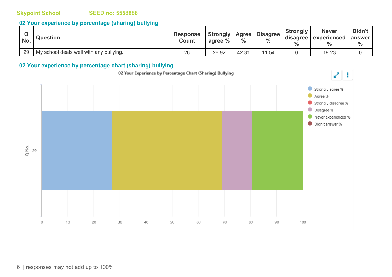### **Skypoint School SEED no: 5558888**

## **02 Your experience by percentage (sharing) bullying**

| w<br>No. | <b>Question</b>                         | <b>Response</b><br><b>Count</b> | Strongly<br>agree % | <b>Agree</b><br>$\frac{0}{0}$ | <b>Disagree</b><br>$\frac{0}{0}$ | <b>Strongly</b><br>disagree<br>$\frac{9}{6}$ | <b>Never</b><br>experienced | Didn't<br>answer<br>$\frac{0}{0}$ |
|----------|-----------------------------------------|---------------------------------|---------------------|-------------------------------|----------------------------------|----------------------------------------------|-----------------------------|-----------------------------------|
| 29       | My school deals well with any bullying. | 26                              | 26.92               | 42.31                         | .54                              |                                              | 19.23                       |                                   |

## **02 Your experience by percentage chart (sharing) bullying**

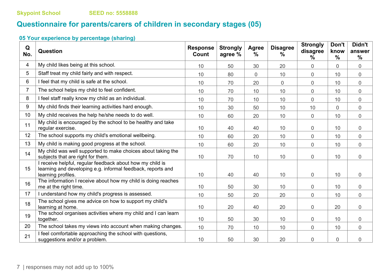# **Questionnaire for parents/carers of children in secondary stages (05)**

# **05 Your experience by percentage (sharing)**

| Q<br>No.       | Question                                                                                                                                       | <b>Response</b><br>Count | <b>Strongly</b><br>agree % | <b>Agree</b><br>$\frac{0}{0}$ | <b>Disagree</b><br>$\frac{0}{0}$ | <b>Strongly</b><br>disagree<br>% | Don't<br>know<br>$\frac{0}{0}$ | Didn't<br>answer<br>$\frac{0}{0}$ |
|----------------|------------------------------------------------------------------------------------------------------------------------------------------------|--------------------------|----------------------------|-------------------------------|----------------------------------|----------------------------------|--------------------------------|-----------------------------------|
| 4              | My child likes being at this school.                                                                                                           | 10                       | 50                         | 30                            | 20                               | 0                                | $\overline{0}$                 | $\overline{0}$                    |
| 5              | Staff treat my child fairly and with respect.                                                                                                  | 10                       | 80                         | 0                             | 10                               | $\overline{0}$                   | 10                             | 0                                 |
| 6              | I feel that my child is safe at the school.                                                                                                    | 10                       | 70                         | 20                            | $\overline{0}$                   | 0                                | 10                             | 0                                 |
| $\overline{7}$ | The school helps my child to feel confident.                                                                                                   | 10                       | 70                         | 10                            | 10                               | 0                                | 10                             | $\overline{0}$                    |
| 8              | I feel staff really know my child as an individual.                                                                                            | 10                       | 70                         | 10                            | 10                               | 0                                | 10                             | 0                                 |
| 9              | My child finds their learning activities hard enough.                                                                                          | 10                       | 30                         | 50                            | 10                               | 10                               | $\overline{0}$                 | $\overline{0}$                    |
| 10             | My child receives the help he/she needs to do well.                                                                                            | 10                       | 60                         | 20                            | 10                               | $\overline{0}$                   | 10                             | 0                                 |
| 11             | My child is encouraged by the school to be healthy and take<br>regular exercise.                                                               | 10                       | 40                         | 40                            | 10                               | 0                                | 10                             | 0                                 |
| 12             | The school supports my child's emotional wellbeing.                                                                                            | 10                       | 60                         | 20                            | 10                               | 0                                | 10                             | 0                                 |
| 13             | My child is making good progress at the school.                                                                                                | 10                       | 60                         | 20                            | 10                               | 0                                | 10                             | 0                                 |
| 14             | My child was well supported to make choices about taking the<br>subjects that are right for them.                                              | 10                       | 70                         | 10                            | 10                               | 0                                | 10                             | 0                                 |
| 15             | I receive helpful, regular feedback about how my child is<br>learning and developing e.g. informal feedback, reports and<br>learning profiles. | 10                       | 40                         | 40                            | 10                               | 0                                | 10                             | 0                                 |
| 16             | The information I receive about how my child is doing reaches<br>me at the right time.                                                         | 10                       | 50                         | 30                            | 10                               | 0                                | 10                             | 0                                 |
| 17             | I understand how my child's progress is assessed.                                                                                              | 10                       | 50                         | 20                            | 20                               | $\overline{0}$                   | 10                             | $\overline{0}$                    |
| 18             | The school gives me advice on how to support my child's<br>learning at home.                                                                   | 10                       | 20                         | 40                            | 20                               | 0                                | 20                             | 0                                 |
| 19             | The school organises activities where my child and I can learn<br>together.                                                                    | 10                       | 50                         | 30                            | 10                               | 0                                | 10                             | 0                                 |
| 20             | The school takes my views into account when making changes.                                                                                    | 10                       | 70                         | 10                            | 10                               | $\overline{0}$                   | 10                             | $\overline{0}$                    |
| 21             | I feel comfortable approaching the school with questions,<br>suggestions and/or a problem.                                                     | 10                       | 50                         | 30                            | 20                               | 0                                | 0                              | 0                                 |